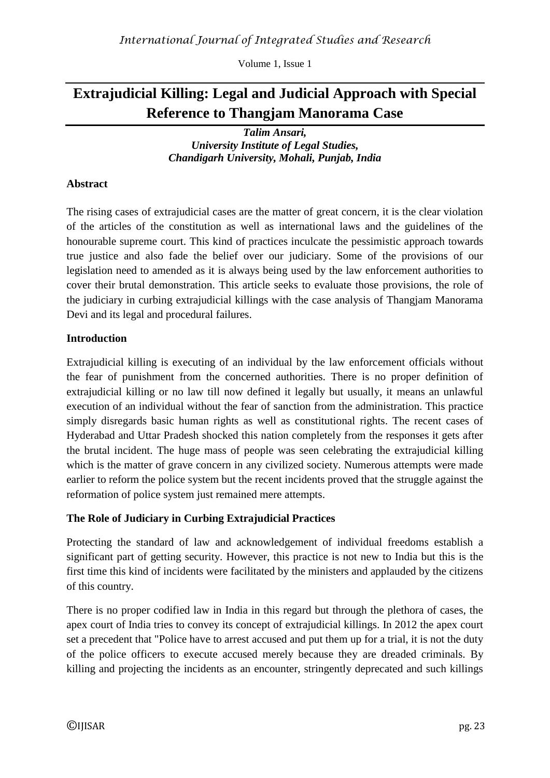Volume 1, Issue 1

# **Extrajudicial Killing: Legal and Judicial Approach with Special Reference to Thangjam Manorama Case**

*Talim Ansari, University Institute of Legal Studies, Chandigarh University, Mohali, Punjab, India*

## **Abstract**

The rising cases of extrajudicial cases are the matter of great concern, it is the clear violation of the articles of the constitution as well as international laws and the guidelines of the honourable supreme court. This kind of practices inculcate the pessimistic approach towards true justice and also fade the belief over our judiciary. Some of the provisions of our legislation need to amended as it is always being used by the law enforcement authorities to cover their brutal demonstration. This article seeks to evaluate those provisions, the role of the judiciary in curbing extrajudicial killings with the case analysis of Thangjam Manorama Devi and its legal and procedural failures.

## **Introduction**

Extrajudicial killing is executing of an individual by the law enforcement officials without the fear of punishment from the concerned authorities. There is no proper definition of extrajudicial killing or no law till now defined it legally but usually, it means an unlawful execution of an individual without the fear of sanction from the administration. This practice simply disregards basic human rights as well as constitutional rights. The recent cases of Hyderabad and Uttar Pradesh shocked this nation completely from the responses it gets after the brutal incident. The huge mass of people was seen celebrating the extrajudicial killing which is the matter of grave concern in any civilized society. Numerous attempts were made earlier to reform the police system but the recent incidents proved that the struggle against the reformation of police system just remained mere attempts.

## **The Role of Judiciary in Curbing Extrajudicial Practices**

Protecting the standard of law and acknowledgement of individual freedoms establish a significant part of getting security. However, this practice is not new to India but this is the first time this kind of incidents were facilitated by the ministers and applauded by the citizens of this country.

There is no proper codified law in India in this regard but through the plethora of cases, the apex court of India tries to convey its concept of extrajudicial killings. In 2012 the apex court set a precedent that "Police have to arrest accused and put them up for a trial, it is not the duty of the police officers to execute accused merely because they are dreaded criminals. By killing and projecting the incidents as an encounter, stringently deprecated and such killings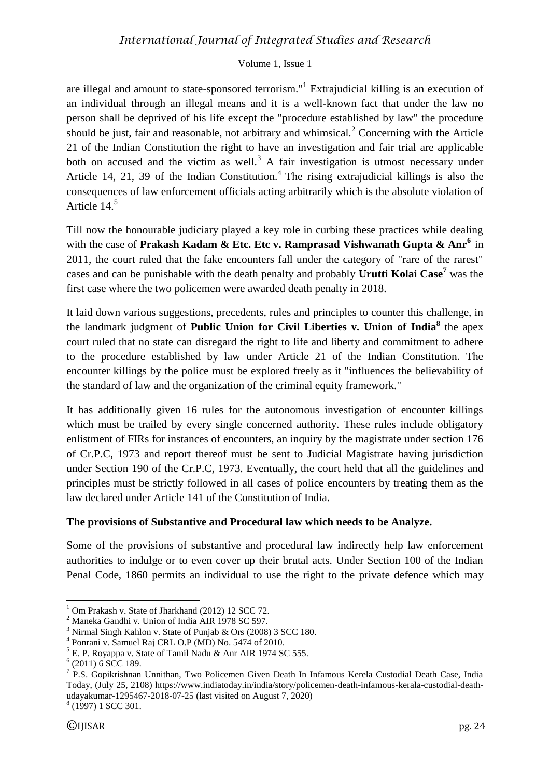#### Volume 1, Issue 1

are illegal and amount to state-sponsored terrorism."<sup>1</sup> Extrajudicial killing is an execution of an individual through an illegal means and it is a well-known fact that under the law no person shall be deprived of his life except the "procedure established by law" the procedure should be just, fair and reasonable, not arbitrary and whimsical.<sup>2</sup> Concerning with the Article 21 of the Indian Constitution the right to have an investigation and fair trial are applicable both on accused and the victim as well.<sup>3</sup> A fair investigation is utmost necessary under Article 14, 21, 39 of the Indian Constitution.<sup>4</sup> The rising extrajudicial killings is also the consequences of law enforcement officials acting arbitrarily which is the absolute violation of Article 14.<sup>5</sup>

Till now the honourable judiciary played a key role in curbing these practices while dealing with the case of **Prakash Kadam & Etc. Etc v. Ramprasad Vishwanath Gupta & Anr<sup>6</sup>** in 2011, the court ruled that the fake encounters fall under the category of "rare of the rarest" cases and can be punishable with the death penalty and probably **Urutti Kolai Case<sup>7</sup>** was the first case where the two policemen were awarded death penalty in 2018.

It laid down various suggestions, precedents, rules and principles to counter this challenge, in the landmark judgment of **Public Union for Civil Liberties v. Union of India<sup>8</sup>** the apex court ruled that no state can disregard the right to life and liberty and commitment to adhere to the procedure established by law under Article 21 of the Indian Constitution. The encounter killings by the police must be explored freely as it "influences the believability of the standard of law and the organization of the criminal equity framework."

It has additionally given 16 rules for the autonomous investigation of encounter killings which must be trailed by every single concerned authority. These rules include obligatory enlistment of FIRs for instances of encounters, an inquiry by the magistrate under section 176 of Cr.P.C, 1973 and report thereof must be sent to Judicial Magistrate having jurisdiction under Section 190 of the Cr.P.C, 1973. Eventually, the court held that all the guidelines and principles must be strictly followed in all cases of police encounters by treating them as the law declared under Article 141 of the Constitution of India.

## **The provisions of Substantive and Procedural law which needs to be Analyze.**

Some of the provisions of substantive and procedural law indirectly help law enforcement authorities to indulge or to even cover up their brutal acts. Under Section 100 of the Indian Penal Code, 1860 permits an individual to use the right to the private defence which may

**.** 

Om Prakash v. State of Jharkhand (2012) 12 SCC 72.

 $2$  Maneka Gandhi v. Union of India AIR 1978 SC 597.

<sup>3</sup> Nirmal Singh Kahlon v. State of Punjab & Ors (2008) 3 SCC 180.

<sup>4</sup> Ponrani v. Samuel Raj CRL O.P (MD) No. 5474 of 2010.

<sup>5</sup> E. P. Royappa v. State of Tamil Nadu & Anr AIR 1974 SC 555.

 $6(2011)$  6 SCC 189.

<sup>&</sup>lt;sup>7</sup> P.S. Gopikrishnan Unnithan, Two Policemen Given Death In Infamous Kerela Custodial Death Case, India Today, (July 25, 2108) [https://www.indiatoday.in/india/story/policemen-death-infamous-kerala-custodial-death](https://www.indiatoday.in/india/story/policemen-death-infamous-kerala-custodial-death-udayakumar-1295467-2018-07-25)[udayakumar-1295467-2018-07-25](https://www.indiatoday.in/india/story/policemen-death-infamous-kerala-custodial-death-udayakumar-1295467-2018-07-25) (last visited on August 7, 2020) <sup>8</sup> (1997) 1 SCC 301.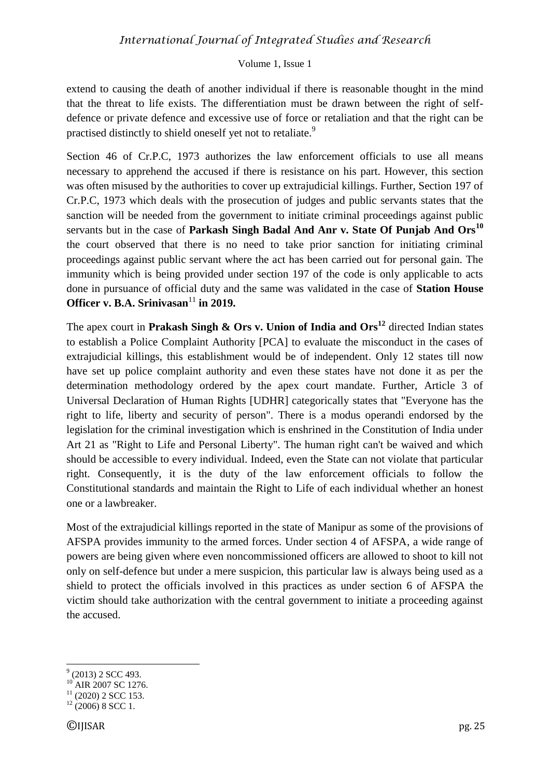#### Volume 1, Issue 1

extend to causing the death of another individual if there is reasonable thought in the mind that the threat to life exists. The differentiation must be drawn between the right of selfdefence or private defence and excessive use of force or retaliation and that the right can be practised distinctly to shield oneself yet not to retaliate.<sup>9</sup>

Section 46 of Cr.P.C, 1973 authorizes the law enforcement officials to use all means necessary to apprehend the accused if there is resistance on his part. However, this section was often misused by the authorities to cover up extrajudicial killings. Further, Section 197 of Cr.P.C, 1973 which deals with the prosecution of judges and public servants states that the sanction will be needed from the government to initiate criminal proceedings against public servants but in the case of **Parkash Singh Badal And Anr v. State Of Punjab And Ors<sup>10</sup>** the court observed that there is no need to take prior sanction for initiating criminal proceedings against public servant where the act has been carried out for personal gain. The immunity which is being provided under section 197 of the code is only applicable to acts done in pursuance of official duty and the same was validated in the case of **Station House Officer v. B.A. Srinivasan**<sup>11</sup> in 2019.

The apex court in **Prakash Singh & Ors v. Union of India and Ors<sup>12</sup>** directed Indian states to establish a Police Complaint Authority [PCA] to evaluate the misconduct in the cases of extrajudicial killings, this establishment would be of independent. Only 12 states till now have set up police complaint authority and even these states have not done it as per the determination methodology ordered by the apex court mandate. Further, Article 3 of Universal Declaration of Human Rights [UDHR] categorically states that "Everyone has the right to life, liberty and security of person". There is a modus operandi endorsed by the legislation for the criminal investigation which is enshrined in the Constitution of India under Art 21 as "Right to Life and Personal Liberty". The human right can't be waived and which should be accessible to every individual. Indeed, even the State can not violate that particular right. Consequently, it is the duty of the law enforcement officials to follow the Constitutional standards and maintain the Right to Life of each individual whether an honest one or a lawbreaker.

Most of the extrajudicial killings reported in the state of Manipur as some of the provisions of AFSPA provides immunity to the armed forces. Under section 4 of AFSPA, a wide range of powers are being given where even noncommissioned officers are allowed to shoot to kill not only on self-defence but under a mere suspicion, this particular law is always being used as a shield to protect the officials involved in this practices as under section 6 of AFSPA the victim should take authorization with the central government to initiate a proceeding against the accused.

**.** 

 $^{9}$  (2013) 2 SCC 493.

<sup>&</sup>lt;sup>10</sup> AIR 2007 SC 1276.

 $^{11}$  (2020) 2 SCC 153.

 $12 (2006) 8 \text{ SCC}$  1.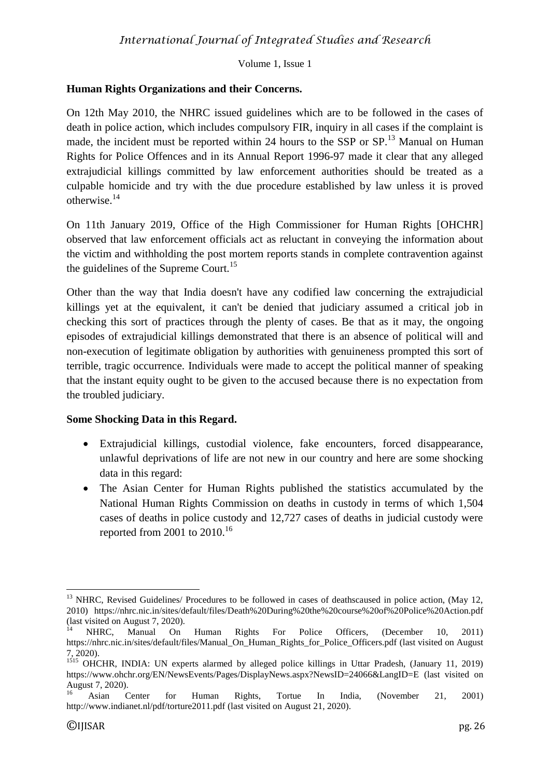Volume 1, Issue 1

## **Human Rights Organizations and their Concerns.**

On 12th May 2010, the NHRC issued guidelines which are to be followed in the cases of death in police action, which includes compulsory FIR, inquiry in all cases if the complaint is made, the incident must be reported within 24 hours to the SSP or SP.<sup>13</sup> Manual on Human Rights for Police Offences and in its Annual Report 1996-97 made it clear that any alleged extrajudicial killings committed by law enforcement authorities should be treated as a culpable homicide and try with the due procedure established by law unless it is proved otherwise.<sup>14</sup>

On 11th January 2019, Office of the High Commissioner for Human Rights [OHCHR] observed that law enforcement officials act as reluctant in conveying the information about the victim and withholding the post mortem reports stands in complete contravention against the guidelines of the Supreme Court.<sup>15</sup>

Other than the way that India doesn't have any codified law concerning the extrajudicial killings yet at the equivalent, it can't be denied that judiciary assumed a critical job in checking this sort of practices through the plenty of cases. Be that as it may, the ongoing episodes of extrajudicial killings demonstrated that there is an absence of political will and non-execution of legitimate obligation by authorities with genuineness prompted this sort of terrible, tragic occurrence. Individuals were made to accept the political manner of speaking that the instant equity ought to be given to the accused because there is no expectation from the troubled judiciary.

## **Some Shocking Data in this Regard.**

- Extrajudicial killings, custodial violence, fake encounters, forced disappearance, unlawful deprivations of life are not new in our country and here are some shocking data in this regard:
- The Asian Center for Human Rights published the statistics accumulated by the National Human Rights Commission on deaths in custody in terms of which 1,504 cases of deaths in police custody and 12,727 cases of deaths in judicial custody were reported from 2001 to  $2010^{16}$

**<sup>.</sup>** <sup>13</sup> NHRC, Revised Guidelines/ Procedures to be followed in cases of deathscaused in police action, (May 12, 2010) <https://nhrc.nic.in/sites/default/files/Death%20During%20the%20course%20of%20Police%20Action.pdf> (last visited on August 7, 2020).

<sup>&</sup>lt;sup>14</sup> NHRC, Manual On Human Rights For Police Officers, (December 10, 2011) [https://nhrc.nic.in/sites/default/files/Manual\\_On\\_Human\\_Rights\\_for\\_Police\\_Officers.pdf](https://nhrc.nic.in/sites/default/files/Manual_On_Human_Rights_for_Police_Officers.pdf) (last visited on August 7, 2020).

<sup>&</sup>lt;sup>1515</sup> OHCHR, INDIA: UN experts alarmed by alleged police killings in Uttar Pradesh, (January 11, 2019) <https://www.ohchr.org/EN/NewsEvents/Pages/DisplayNews.aspx?NewsID=24066&LangID=E> (last visited on August 7, 2020).

<sup>&</sup>lt;sup>16</sup> Asian Center for Human Rights, Tortue In India, (November 21, 2001) <http://www.indianet.nl/pdf/torture2011.pdf> (last visited on August 21, 2020).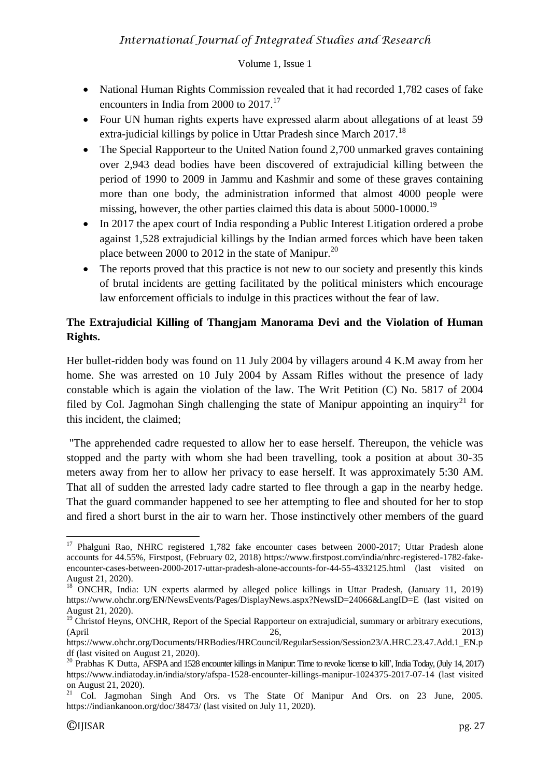## Volume 1, Issue 1

- National Human Rights Commission revealed that it had recorded 1.782 cases of fake encounters in India from 2000 to 2017.<sup>17</sup>
- Four UN human rights experts have expressed alarm about allegations of at least 59 extra-judicial killings by police in Uttar Pradesh since March 2017.<sup>18</sup>
- The Special Rapporteur to the United Nation found 2.700 unmarked graves containing over 2,943 dead bodies have been discovered of extrajudicial killing between the period of 1990 to 2009 in Jammu and Kashmir and some of these graves containing more than one body, the administration informed that almost 4000 people were missing, however, the other parties claimed this data is about 5000-10000.<sup>19</sup>
- In 2017 the apex court of India responding a Public Interest Litigation ordered a probe against 1,528 extrajudicial killings by the Indian armed forces which have been taken place between 2000 to 2012 in the state of Manipur.<sup>20</sup>
- The reports proved that this practice is not new to our society and presently this kinds of brutal incidents are getting facilitated by the political ministers which encourage law enforcement officials to indulge in this practices without the fear of law.

# **The Extrajudicial Killing of Thangjam Manorama Devi and the Violation of Human Rights.**

Her bullet-ridden body was found on 11 July 2004 by villagers around 4 K.M away from her home. She was arrested on 10 July 2004 by Assam Rifles without the presence of lady constable which is again the violation of the law. The Writ Petition (C) No. 5817 of 2004 filed by Col. Jagmohan Singh challenging the state of Manipur appointing an inquiry<sup>21</sup> for this incident, the claimed;

"The apprehended cadre requested to allow her to ease herself. Thereupon, the vehicle was stopped and the party with whom she had been travelling, took a position at about 30-35 meters away from her to allow her privacy to ease herself. It was approximately 5:30 AM. That all of sudden the arrested lady cadre started to flee through a gap in the nearby hedge. That the guard commander happened to see her attempting to flee and shouted for her to stop and fired a short burst in the air to warn her. Those instinctively other members of the guard

**.** 

<sup>&</sup>lt;sup>17</sup> Phalguni Rao, NHRC registered 1,782 fake encounter cases between 2000-2017; Uttar Pradesh alone accounts for 44.55%, Firstpost, (February 02, 2018) [https://www.firstpost.com/india/nhrc-registered-1782-fake](https://www.firstpost.com/india/nhrc-registered-1782-fake-encounter-cases-between-2000-2017-uttar-pradesh-alone-accounts-for-44-55-4332125.html)[encounter-cases-between-2000-2017-uttar-pradesh-alone-accounts-for-44-55-4332125.html](https://www.firstpost.com/india/nhrc-registered-1782-fake-encounter-cases-between-2000-2017-uttar-pradesh-alone-accounts-for-44-55-4332125.html) (last visited on August 21, 2020).

<sup>&</sup>lt;sup>18</sup> ONCHR, India: UN experts alarmed by alleged police killings in Uttar Pradesh, (January 11, 2019) <https://www.ohchr.org/EN/NewsEvents/Pages/DisplayNews.aspx?NewsID=24066&LangID=E> (last visited on August 21, 2020).

<sup>&</sup>lt;sup>19</sup> Christof Heyns, ONCHR, Report of the Special Rapporteur on extrajudicial, summary or arbitrary executions, (April 26, 2013)

[https://www.ohchr.org/Documents/HRBodies/HRCouncil/RegularSession/Session23/A.HRC.23.47.Add.1\\_EN.p](https://www.ohchr.org/Documents/HRBodies/HRCouncil/RegularSession/Session23/A.HRC.23.47.Add.1_EN.pdf) [df](https://www.ohchr.org/Documents/HRBodies/HRCouncil/RegularSession/Session23/A.HRC.23.47.Add.1_EN.pdf) (last visited on August 21, 2020).

<sup>&</sup>lt;sup>20</sup> Prabhas K Dutta, AFSPA and 1528 encounter killings in Manipur: Time to revoke 'license to kill', India Today, (July 14, 2017) <https://www.indiatoday.in/india/story/afspa-1528-encounter-killings-manipur-1024375-2017-07-14> (last visited on August 21, 2020).

<sup>&</sup>lt;sup>21</sup> Col. Jagmohan Singh And Ors. vs The State Of Manipur And Ors. on 23 June, 2005. <https://indiankanoon.org/doc/38473/> (last visited on July 11, 2020).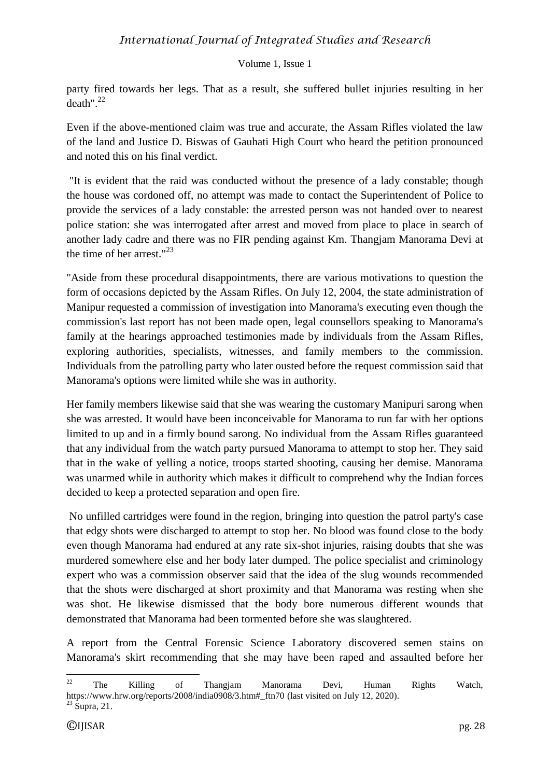### Volume 1, Issue 1

party fired towards her legs. That as a result, she suffered bullet injuries resulting in her death" $22$ 

Even if the above-mentioned claim was true and accurate, the Assam Rifles violated the law of the land and Justice D. Biswas of Gauhati High Court who heard the petition pronounced and noted this on his final verdict.

"It is evident that the raid was conducted without the presence of a lady constable; though the house was cordoned off, no attempt was made to contact the Superintendent of Police to provide the services of a lady constable: the arrested person was not handed over to nearest police station: she was interrogated after arrest and moved from place to place in search of another lady cadre and there was no FIR pending against Km. Thangjam Manorama Devi at the time of her arrest."<sup>23</sup>

"Aside from these procedural disappointments, there are various motivations to question the form of occasions depicted by the Assam Rifles. On July 12, 2004, the state administration of Manipur requested a commission of investigation into Manorama's executing even though the commission's last report has not been made open, legal counsellors speaking to Manorama's family at the hearings approached testimonies made by individuals from the Assam Rifles, exploring authorities, specialists, witnesses, and family members to the commission. Individuals from the patrolling party who later ousted before the request commission said that Manorama's options were limited while she was in authority.

Her family members likewise said that she was wearing the customary Manipuri sarong when she was arrested. It would have been inconceivable for Manorama to run far with her options limited to up and in a firmly bound sarong. No individual from the Assam Rifles guaranteed that any individual from the watch party pursued Manorama to attempt to stop her. They said that in the wake of yelling a notice, troops started shooting, causing her demise. Manorama was unarmed while in authority which makes it difficult to comprehend why the Indian forces decided to keep a protected separation and open fire.

No unfilled cartridges were found in the region, bringing into question the patrol party's case that edgy shots were discharged to attempt to stop her. No blood was found close to the body even though Manorama had endured at any rate six-shot injuries, raising doubts that she was murdered somewhere else and her body later dumped. The police specialist and criminology expert who was a commission observer said that the idea of the slug wounds recommended that the shots were discharged at short proximity and that Manorama was resting when she was shot. He likewise dismissed that the body bore numerous different wounds that demonstrated that Manorama had been tormented before she was slaughtered.

A report from the Central Forensic Science Laboratory discovered semen stains on Manorama's skirt recommending that she may have been raped and assaulted before her

 $22\,$  $22$  The Killing of Thangjam Manorama Devi, Human Rights Watch, [https://www.hrw.org/reports/2008/india0908/3.htm#\\_ftn70](https://www.hrw.org/reports/2008/india0908/3.htm#_ftn70) (last visited on July 12, 2020).  $^{23}$  Supra, 21.